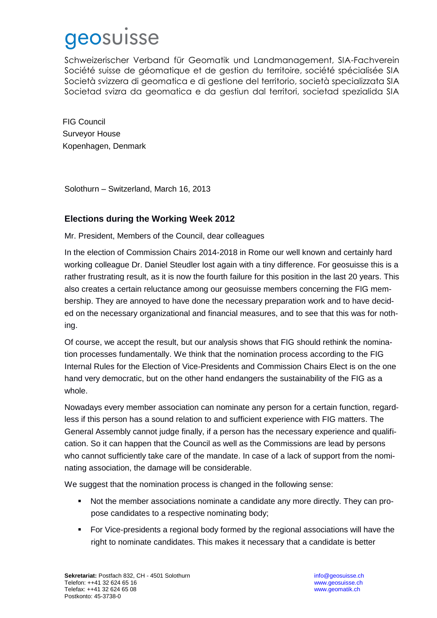## geosuisse

Schweizerischer Verband für Geomatik und Landmanagement, SIA-Fachverein Société suisse de géomatique et de gestion du territoire, société spécialisée SIA Società svizzera di geomatica e di gestione del territorio, società specializzata SIA Societad svizra da geomatica e da gestiun dal territori, societad spezialida SIA

FIG Council Surveyor House Kopenhagen, Denmark

Solothurn – Switzerland, March 16, 2013

## **Elections during the Working Week 2012**

Mr. President, Members of the Council, dear colleagues

In the election of Commission Chairs 2014-2018 in Rome our well known and certainly hard working colleague Dr. Daniel Steudler lost again with a tiny difference. For geosuisse this is a rather frustrating result, as it is now the fourth failure for this position in the last 20 years. This also creates a certain reluctance among our geosuisse members concerning the FIG membership. They are annoyed to have done the necessary preparation work and to have decided on the necessary organizational and financial measures, and to see that this was for nothing.  $\overline{\mathbf{u}}$  and voting process.

Of course, we accept the result, but our analysis shows that FIG should rethink the nomination processes fundamentally. We think that the nomination process according to the FIG Internal Rules for the Election of Vice-Presidents and Commission Chairs Elect is on the one hand very democratic, but on the other hand endangers the sustainability of the FIG as a whole.  $m_{\text{F}}$  and to omit multiple choice applications.

Nowadays every member association can nominate any person for a certain function, regardless if this person has a sound relation to and sufficient experience with FIG matters. The General Assembly cannot judge finally, if a person has the necessary experience and qualification. So it can happen that the Council as well as the Commissions are lead by persons who cannot sufficiently take care of the mandate. In case of a lack of support from the nominating association, the damage will be considerable.

We suggest that the nomination process is changed in the following sense: statutes if found necessary.

- Not the member associations nominate a candidate any more directly. They can propose candidates to a respective nominating body; With best regards
	- For Vice-presidents a regional body formed by the regional associations will have the right to nominate candidates. This makes it necessary that a candidate is better